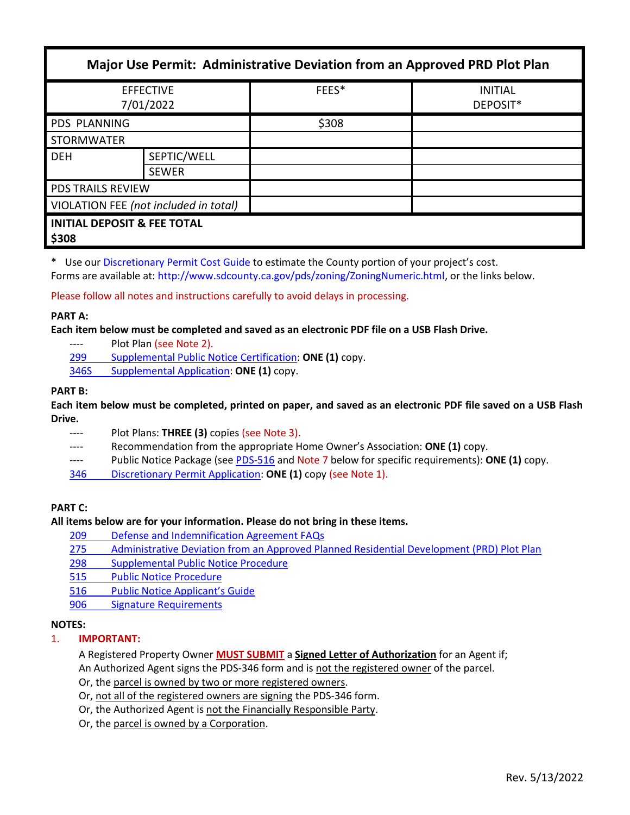| Major Use Permit: Administrative Deviation from an Approved PRD Plot Plan |                             |       |                            |
|---------------------------------------------------------------------------|-----------------------------|-------|----------------------------|
| <b>EFFECTIVE</b><br>7/01/2022                                             |                             | FEES* | <b>INITIAL</b><br>DEPOSIT* |
| PDS PLANNING                                                              |                             | \$308 |                            |
| <b>STORMWATER</b>                                                         |                             |       |                            |
| <b>DEH</b>                                                                | SEPTIC/WELL<br><b>SEWER</b> |       |                            |
| <b>PDS TRAILS REVIEW</b>                                                  |                             |       |                            |
| VIOLATION FEE (not included in total)                                     |                             |       |                            |
| <b>INITIAL DEPOSIT &amp; FEE TOTAL</b><br>\$308                           |                             |       |                            |

\* Use our [Discretionary Permit Cost Guide](http://www.sandiegocounty.gov/content/dam/sdc/pds/docs/Discretionary_Permit_Cost_Guide.xlsx) to estimate the County portion of your project's cost.

Forms are available at: [http://www.sdcounty.ca.gov/pds/zoning/ZoningNumeric.html,](http://www.sdcounty.ca.gov/pds/zoning/ZoningNumeric.html) or the links below.

Please follow all notes and instructions carefully to avoid delays in processing.

### **PART A:**

**Each item below must be completed and saved as an electronic PDF file on a USB Flash Drive.**

- ---- Plot Plan (see Note 2).
- 299 [Supplemental Public Notice](http://www.sdcounty.ca.gov/pds/zoning/formfields/PDS-PLN-299.pdf) Certification: **ONE (1)** copy.

[346S Supplemental Application:](http://www.sdcounty.ca.gov/pds/zoning/formfields/PDS-PLN-346S.pdf) **ONE (1)** copy.

# **PART B:**

**Each item below must be completed, printed on paper, and saved as an electronic PDF file saved on a USB Flash Drive.**

- Plot Plans: **THREE (3)** copies (see Note 3).
- ---- Recommendation from the appropriate Home Owner's Association: **ONE (1)** copy.
- ---- Public Notice Package (see [PDS-516](https://www.sandiegocounty.gov/pds/zoning/formfields/PDS-PLN-516.pdf) and Note 7 below for specific requirements): **ONE (1)** copy.
- 346 [Discretionary Permit Application:](http://www.sdcounty.ca.gov/pds/zoning/formfields/PDS-PLN-346.pdf) **ONE (1)** copy (see Note 1).

# **PART C:**

### **All items below are for your information. Please do not bring in these items.**

- 209 [Defense and Indemnification Agreement FAQs](http://www.sdcounty.ca.gov/pds/zoning/formfields/PDS-PLN-209.pdf)
- 275 [Administrative Deviation from an Approved Planned Residential Development \(PRD\) Plot Plan](http://www.sdcounty.ca.gov/pds/zoning/formfields/PDS-PLN-275.pdf)
- 298 [Supplemental Public Notice Procedure](http://www.sdcounty.ca.gov/pds/zoning/formfields/PDS-PLN-298.pdf)
- [515 Public Notice Procedure](http://www.sdcounty.ca.gov/pds/zoning/formfields/PDS-PLN-515.pdf)
- 516 [Public Notice Applicant's Guide](http://www.sdcounty.ca.gov/pds/zoning/formfields/PDS-PLN-516.pdf)
- [906 Signature Requirements](http://www.sdcounty.ca.gov/pds/zoning/formfields/PDS-PLN-906.pdf)

# **NOTES:**

# 1. **IMPORTANT:**

A Registered Property Owner **MUST SUBMIT** a **Signed Letter of Authorization** for an Agent if; An Authorized Agent signs the PDS-346 form and is not the registered owner of the parcel.

Or, the parcel is owned by two or more registered owners.

- Or, not all of the registered owners are signing the PDS-346 form.
- Or, the Authorized Agent is not the Financially Responsible Party.
- Or, the parcel is owned by a Corporation.